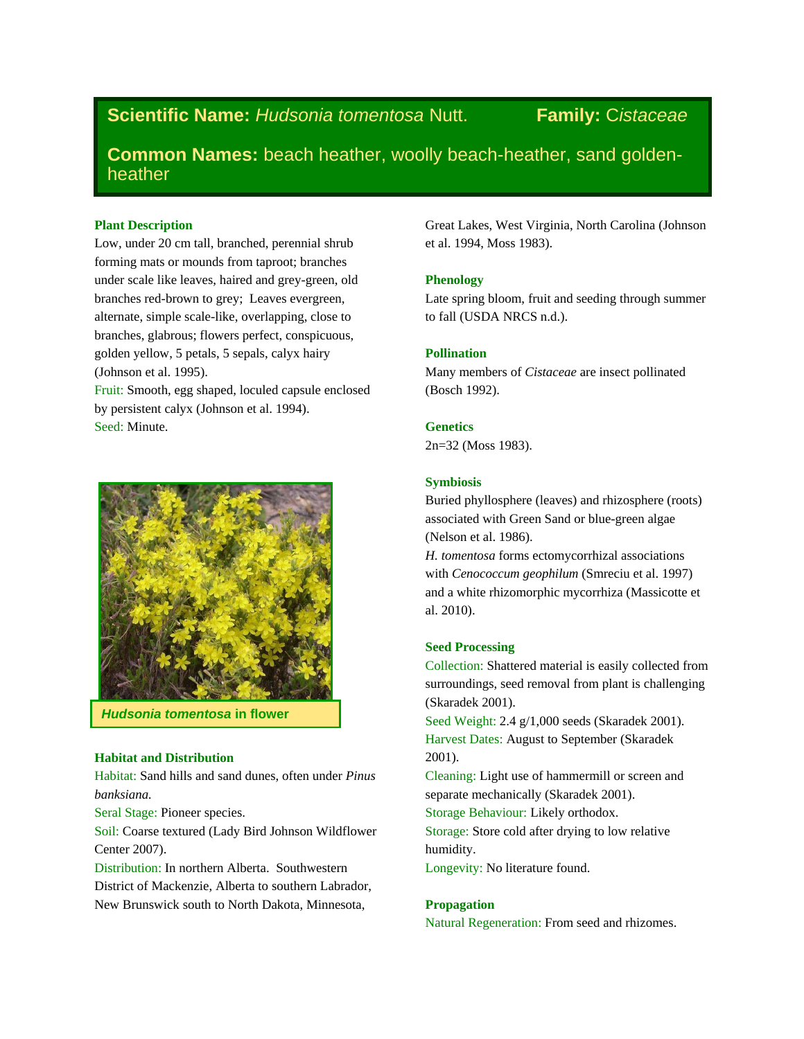# **Scientific Name:** *Hudsonia tomentosa* Nutt. **Family:** C*istaceae*

**Common Names:** beach heather, woolly beach-heather, sand goldenheather

### **Plant Description**

Low, under 20 cm tall, branched, perennial shrub forming mats or mounds from taproot; branches under scale like leaves, haired and grey-green, old branches red-brown to grey; Leaves evergreen, alternate, simple scale-like, overlapping, close to branches, glabrous; flowers perfect, conspicuous, golden yellow, 5 petals, 5 sepals, calyx hairy (Johnson et al. 1995).

Fruit: Smooth, egg shaped, loculed capsule enclosed by persistent calyx (Johnson et al. 1994). Seed: Minute.



*Hudsonia tomentosa* **in flower**

# **Habitat and Distribution**

Habitat: Sand hills and sand dunes, often under *Pinus banksiana.*

Seral Stage: Pioneer species.

Soil: Coarse textured (Lady Bird Johnson Wildflower Center 2007).

Distribution: In northern Alberta. Southwestern District of Mackenzie, Alberta to southern Labrador, New Brunswick south to North Dakota, Minnesota,

Great Lakes, West Virginia, North Carolina (Johnson et al. 1994, Moss 1983).

#### **Phenology**

Late spring bloom, fruit and seeding through summer to fall (USDA NRCS n.d.).

## **Pollination**

Many members of *Cistaceae* are insect pollinated (Bosch 1992).

### **Genetics**

2n=32 (Moss 1983).

#### **Symbiosis**

Buried phyllosphere (leaves) and rhizosphere (roots) associated with Green Sand or blue-green algae (Nelson et al. 1986).

*H. tomentosa* forms ectomycorrhizal associations with *Cenococcum geophilum* (Smreciu et al. 1997) and a white rhizomorphic mycorrhiza (Massicotte et al. 2010).

#### **Seed Processing**

Collection: Shattered material is easily collected from surroundings, seed removal from plant is challenging (Skaradek 2001).

Seed Weight: 2.4 g/1,000 seeds (Skaradek 2001). Harvest Dates: August to September (Skaradek 2001).

Cleaning: Light use of hammermill or screen and separate mechanically (Skaradek 2001).

Storage Behaviour: Likely orthodox.

Storage: Store cold after drying to low relative humidity.

Longevity: No literature found.

#### **Propagation**

Natural Regeneration: From seed and rhizomes.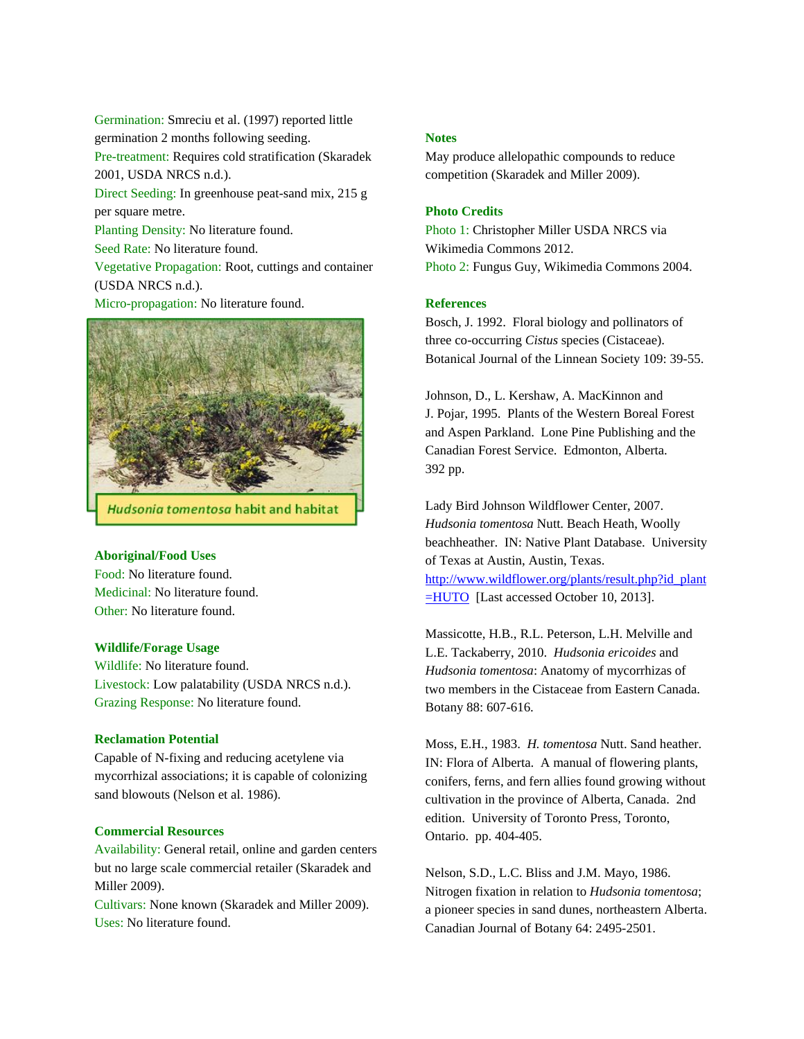Germination: Smreciu et al. (1997) reported little germination 2 months following seeding. Pre-treatment: Requires cold stratification (Skaradek 2001, USDA NRCS n.d.). Direct Seeding: In greenhouse peat-sand mix, 215 g per square metre. Planting Density: No literature found. Seed Rate: No literature found. Vegetative Propagation: Root, cuttings and container (USDA NRCS n.d.). Micro-propagation: No literature found.



#### **Aboriginal/Food Uses**

Food: No literature found. Medicinal: No literature found. Other: No literature found.

#### **Wildlife/Forage Usage**

Wildlife: No literature found. Livestock: Low palatability (USDA NRCS n.d.). Grazing Response: No literature found.

### **Reclamation Potential**

Capable of N-fixing and reducing acetylene via mycorrhizal associations; it is capable of colonizing sand blowouts (Nelson et al. 1986).

#### **Commercial Resources**

Availability: General retail, online and garden centers but no large scale commercial retailer (Skaradek and Miller 2009).

Cultivars: None known (Skaradek and Miller 2009). Uses: No literature found.

#### **Notes**

May produce allelopathic compounds to reduce competition (Skaradek and Miller 2009).

#### **Photo Credits**

Photo 1: Christopher Miller USDA NRCS via Wikimedia Commons 2012. Photo 2: Fungus Guy, Wikimedia Commons 2004.

#### **References**

Bosch, J. 1992. Floral biology and pollinators of three co-occurring *Cistus* species (Cistaceae). Botanical Journal of the Linnean Society 109: 39-55.

Johnson, D., L. Kershaw, A. MacKinnon and J. Pojar, 1995. Plants of the Western Boreal Forest and Aspen Parkland. Lone Pine Publishing and the Canadian Forest Service. Edmonton, Alberta. 392 pp.

Lady Bird Johnson Wildflower Center, 2007. *Hudsonia tomentosa* Nutt. Beach Heath, Woolly beachheather. IN: Native Plant Database. University of Texas at Austin, Austin, Texas. [http://www.wildflower.org/plants/result.php?id\\_plant](http://www.wildflower.org/plants/result.php?id_plant=HUTO) [=HUTO](http://www.wildflower.org/plants/result.php?id_plant=HUTO) [Last accessed October 10, 2013].

Massicotte, H.B., R.L. Peterson, L.H. Melville and L.E. Tackaberry, 2010. *Hudsonia ericoides* and *Hudsonia tomentosa*: Anatomy of mycorrhizas of two members in the Cistaceae from Eastern Canada. Botany 88: 607-616.

Moss, E.H., 1983. *H. tomentosa* Nutt. Sand heather. IN: Flora of Alberta. A manual of flowering plants, conifers, ferns, and fern allies found growing without cultivation in the province of Alberta, Canada. 2nd edition. University of Toronto Press, Toronto, Ontario. pp. 404-405.

Nelson, S.D., L.C. Bliss and J.M. Mayo, 1986. Nitrogen fixation in relation to *Hudsonia tomentosa*; a pioneer species in sand dunes, northeastern Alberta. Canadian Journal of Botany 64: 2495-2501.